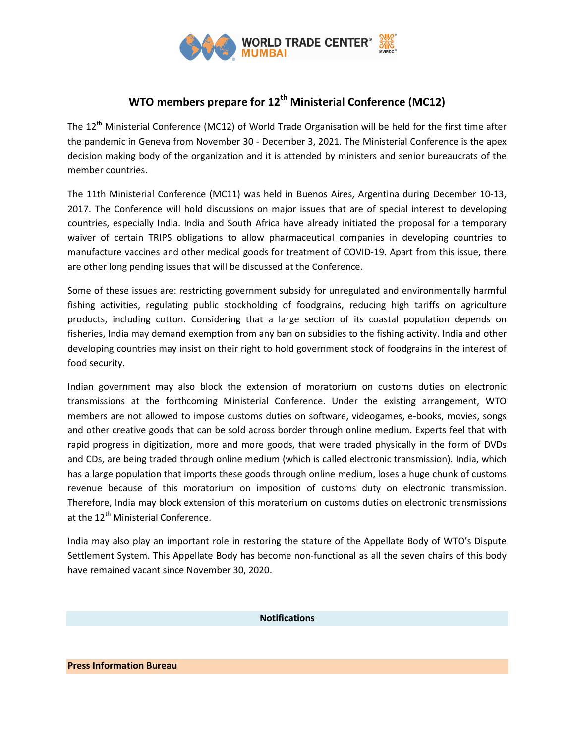

## WTO members prepare for  $12<sup>th</sup>$  Ministerial Conference (MC12)

The 12<sup>th</sup> Ministerial Conference (MC12) of World Trade Organisation will be held for the first time after the pandemic in Geneva from November 30 - December 3, 2021. The Ministerial Conference is the apex decision making body of the organization and it is attended by ministers and senior bureaucrats of the member countries.

The 11th Ministerial Conference (MC11) was held in Buenos Aires, Argentina during December 10-13, 2017. The Conference will hold discussions on major issues that are of special interest to developing countries, especially India. India and South Africa have already initiated the proposal for a temporary waiver of certain TRIPS obligations to allow pharmaceutical companies in developing countries to manufacture vaccines and other medical goods for treatment of COVID-19. Apart from this issue, there are other long pending issues that will be discussed at the Conference.

Some of these issues are: restricting government subsidy for unregulated and environmentally harmful fishing activities, regulating public stockholding of foodgrains, reducing high tariffs on agriculture products, including cotton. Considering that a large section of its coastal population depends on fisheries, India may demand exemption from any ban on subsidies to the fishing activity. India and other developing countries may insist on their right to hold government stock of foodgrains in the interest of food security.

Indian government may also block the extension of moratorium on customs duties on electronic transmissions at the forthcoming Ministerial Conference. Under the existing arrangement, WTO members are not allowed to impose customs duties on software, videogames, e-books, movies, songs and other creative goods that can be sold across border through online medium. Experts feel that with rapid progress in digitization, more and more goods, that were traded physically in the form of DVDs and CDs, are being traded through online medium (which is called electronic transmission). India, which has a large population that imports these goods through online medium, loses a huge chunk of customs revenue because of this moratorium on imposition of customs duty on electronic transmission. Therefore, India may block extension of this moratorium on customs duties on electronic transmissions at the 12<sup>th</sup> Ministerial Conference.

India may also play an important role in restoring the stature of the Appellate Body of WTO's Dispute Settlement System. This Appellate Body has become non-functional as all the seven chairs of this body have remained vacant since November 30, 2020.

## Notifications